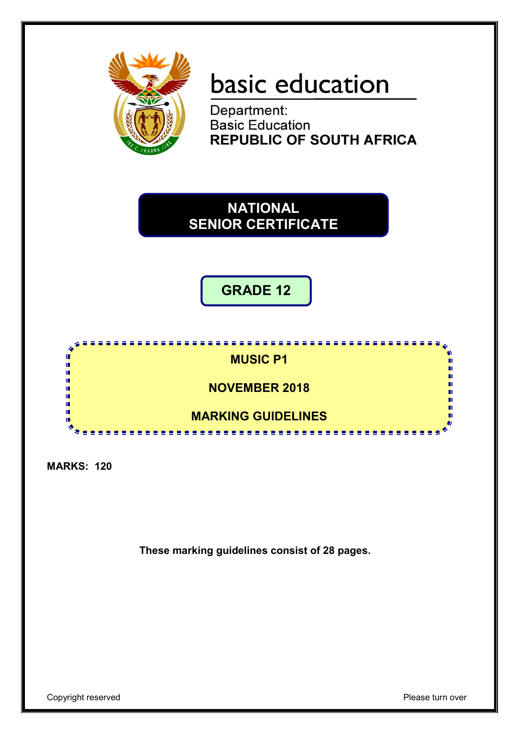

# basic education

Department:<br>Basic Education **REPUBLIC OF SOUTH AFRICA** 

# **NATIONAL SENIOR CERTIFICATE**

**GRADE 12**



**MARKS: 120**

**These marking guidelines consist of 28 pages.**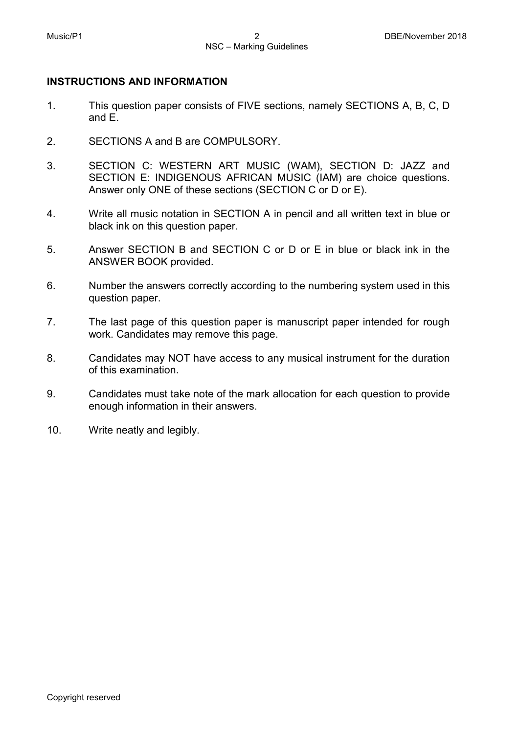#### **INSTRUCTIONS AND INFORMATION**

- 1. This question paper consists of FIVE sections, namely SECTIONS A, B, C, D and E.
- 2. SECTIONS A and B are COMPULSORY.
- 3. SECTION C: WESTERN ART MUSIC (WAM), SECTION D: JAZZ and SECTION E: INDIGENOUS AFRICAN MUSIC (IAM) are choice questions. Answer only ONE of these sections (SECTION C or D or E).
- 4. Write all music notation in SECTION A in pencil and all written text in blue or black ink on this question paper.
- 5. Answer SECTION B and SECTION C or D or E in blue or black ink in the ANSWER BOOK provided.
- 6. Number the answers correctly according to the numbering system used in this question paper.
- 7. The last page of this question paper is manuscript paper intended for rough work. Candidates may remove this page.
- 8. Candidates may NOT have access to any musical instrument for the duration of this examination.
- 9. Candidates must take note of the mark allocation for each question to provide enough information in their answers.
- 10. Write neatly and legibly.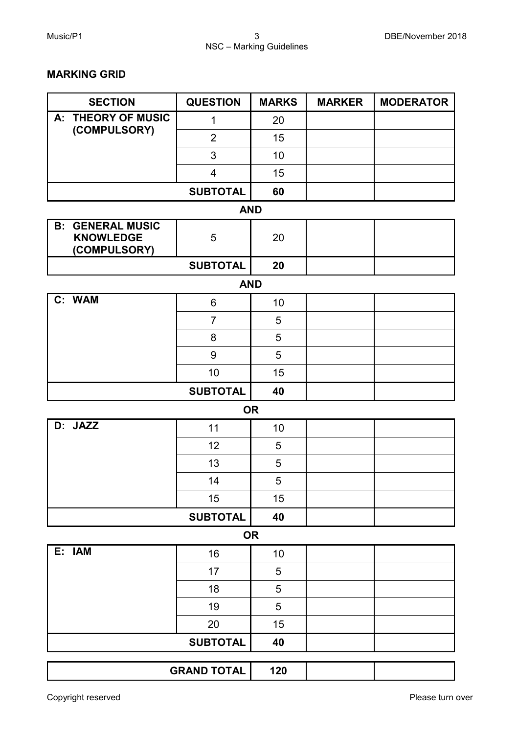#### **MARKING GRID**

| <b>SECTION</b>                                              | <b>QUESTION</b>         | <b>MARKS</b> | <b>MARKER</b> | <b>MODERATOR</b> |
|-------------------------------------------------------------|-------------------------|--------------|---------------|------------------|
| <b>THEORY OF MUSIC</b><br>А:                                | 1                       | 20           |               |                  |
| (COMPULSORY)                                                | $\overline{2}$          | 15           |               |                  |
|                                                             | 3                       | 10           |               |                  |
|                                                             | $\overline{\mathbf{4}}$ | 15           |               |                  |
|                                                             | <b>SUBTOTAL</b>         | 60           |               |                  |
|                                                             | <b>AND</b>              |              |               |                  |
| <b>B: GENERAL MUSIC</b><br><b>KNOWLEDGE</b><br>(COMPULSORY) | 5                       | 20           |               |                  |
|                                                             | <b>SUBTOTAL</b>         | 20           |               |                  |
|                                                             | <b>AND</b>              |              |               |                  |
| C: WAM                                                      | 6                       | 10           |               |                  |
|                                                             | $\overline{7}$          | 5            |               |                  |
|                                                             | 8                       | 5            |               |                  |
|                                                             | 9                       | 5            |               |                  |
|                                                             | 10                      | 15           |               |                  |
|                                                             | <b>SUBTOTAL</b>         | 40           |               |                  |
|                                                             |                         | <b>OR</b>    |               |                  |
| D: JAZZ                                                     | 11                      | 10           |               |                  |
|                                                             | 12                      | 5            |               |                  |
|                                                             | 13                      | $\sqrt{5}$   |               |                  |
|                                                             | 14                      | 5            |               |                  |
|                                                             | 15                      | 15           |               |                  |
|                                                             | <b>SUBTOTAL</b>         | 40           |               |                  |
|                                                             |                         | <b>OR</b>    |               |                  |
| E: IAM                                                      | 16                      | 10           |               |                  |
|                                                             | 17                      | 5            |               |                  |
|                                                             | 18                      | 5            |               |                  |
|                                                             | 19                      | 5            |               |                  |
|                                                             | 20                      | 15           |               |                  |
|                                                             | <b>SUBTOTAL</b>         | 40           |               |                  |
|                                                             | <b>GRAND TOTAL</b>      | 120          |               |                  |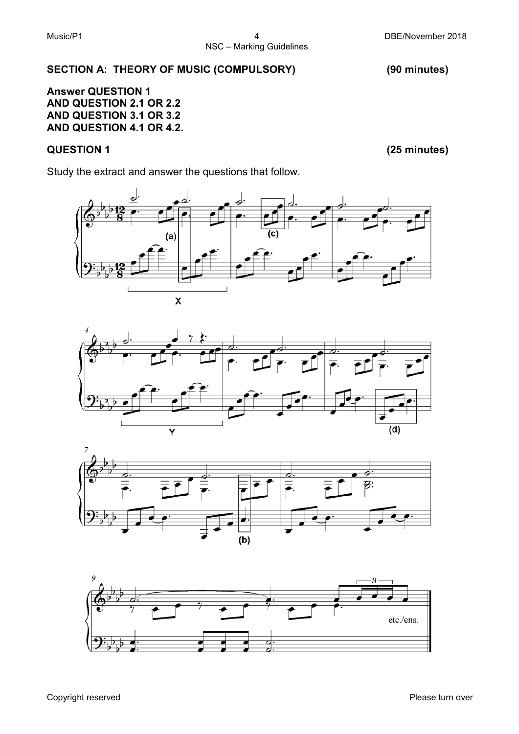#### **SECTION A: THEORY OF MUSIC (COMPULSORY) (90 minutes)**

**Answer QUESTION 1 AND QUESTION 2.1 OR 2.2 AND QUESTION 3.1 OR 3.2 AND QUESTION 4.1 OR 4.2.**

# **QUESTION 1 (25 minutes)**

Study the extract and answer the questions that follow.







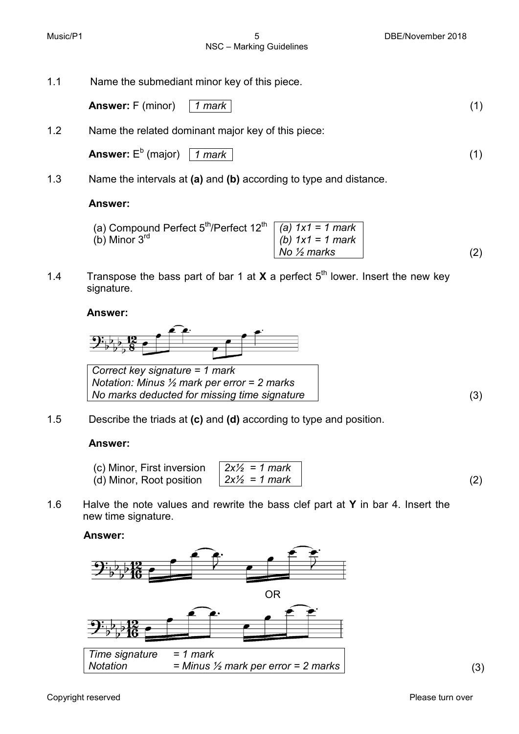NSC – Marking Guidelines

Music/P1 **6 DBE/November 2018** 5 DBE/November 2018

- 1.1 Name the submediant minor key of this piece.
	- **Answer:** F (minor)*1 mark* (1)
- 1.2 Name the related dominant major key of this piece:

Answer: 
$$
E^b
$$
 (major)  $\boxed{1$  mark

1.3 Name the intervals at **(a)** and **(b)** according to type and distance.

#### **Answer:**

| (a) Compound Perfect $5^{\text{th}}$ /Perfect $12^{\text{th}}$   (a) $\overline{1x1} = 1$ mark |                        |  |
|------------------------------------------------------------------------------------------------|------------------------|--|
| (b) Minor $3^{ra}$                                                                             | $(b) 1x1 = 1 mark$     |  |
|                                                                                                | No $\frac{1}{2}$ marks |  |

1.4 Transpose the bass part of bar 1 at **X** a perfect  $5<sup>th</sup>$  lower. Insert the new key signature.

**Answer:**



1.5 Describe the triads at **(c)** and **(d)** according to type and position.

#### **Answer:**

- (c) Minor, First inversion (d) Minor, Root position *2x½ = 1 mark*  $2x\frac{1}{2} = 1$  mark (2)
- 1.6 Halve the note values and rewrite the bass clef part at **Y** in bar 4. Insert the new time signature.

**Answer:**

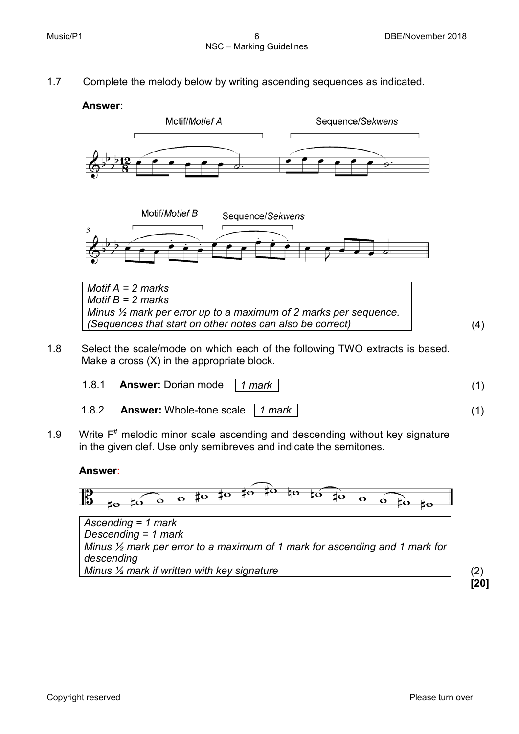1.7 Complete the melody below by writing ascending sequences as indicated.

#### **Answer:**





*Motif A = 2 marks Motif B = 2 marks Minus ½ mark per error up to a maximum of 2 marks per sequence. (Sequences that start on other notes can also be correct)* (4)

1.8 Select the scale/mode on which each of the following TWO extracts is based. Make a cross (X) in the appropriate block.

| 1.8.1 <b>Answer:</b> Dorian mode   1 mark |  |
|-------------------------------------------|--|
| 1.8.2 Answer: Whole-tone scale   1 mark   |  |

1.9 Write  $F^*$  melodic minor scale ascending and descending without key signature in the given clef. Use only semibreves and indicate the semitones.

#### **Answer:**

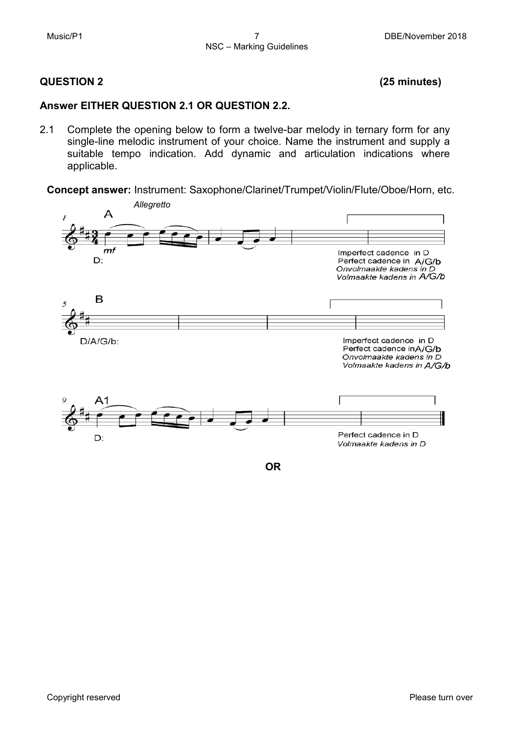# **QUESTION 2 (25 minutes)**

#### **Answer EITHER QUESTION 2.1 OR QUESTION 2.2.**

2.1 Complete the opening below to form a twelve-bar melody in ternary form for any single-line melodic instrument of your choice. Name the instrument and supply a suitable tempo indication. Add dynamic and articulation indications where applicable.

**Concept answer:** Instrument: Saxophone/Clarinet/Trumpet/Violin/Flute/Oboe/Horn, etc.



**OR**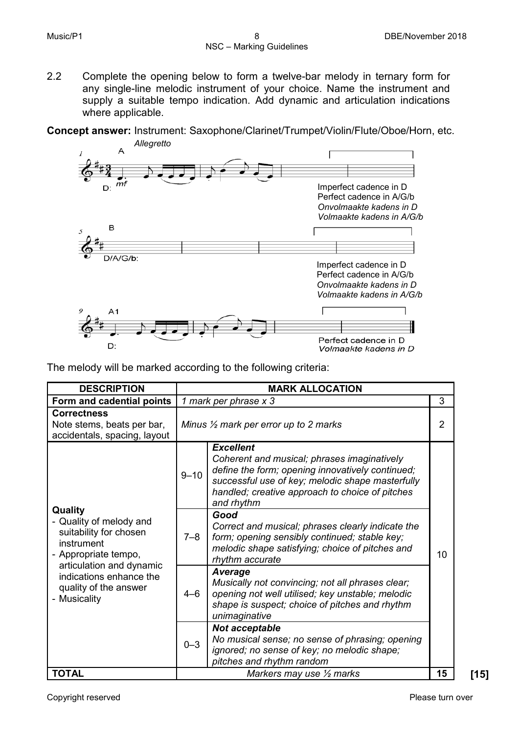2.2 Complete the opening below to form a twelve-bar melody in ternary form for any single-line melodic instrument of your choice. Name the instrument and supply a suitable tempo indication. Add dynamic and articulation indications where applicable.

**Concept answer:** Instrument: Saxophone/Clarinet/Trumpet/Violin/Flute/Oboe/Horn, etc.



The melody will be marked according to the following criteria:

| <b>DESCRIPTION</b>                                                                                 |          | <b>MARK ALLOCATION</b>                                                                                                                                                                                                                   |    |
|----------------------------------------------------------------------------------------------------|----------|------------------------------------------------------------------------------------------------------------------------------------------------------------------------------------------------------------------------------------------|----|
| Form and cadential points                                                                          |          | 1 mark per phrase x 3                                                                                                                                                                                                                    | 3  |
| <b>Correctness</b><br>Note stems, beats per bar,<br>accidentals, spacing, layout                   |          | Minus $\frac{1}{2}$ mark per error up to 2 marks                                                                                                                                                                                         | 2  |
|                                                                                                    | $9 - 10$ | <b>Excellent</b><br>Coherent and musical; phrases imaginatively<br>define the form; opening innovatively continued;<br>successful use of key; melodic shape masterfully<br>handled; creative approach to choice of pitches<br>and rhythm |    |
| Quality<br>- Quality of melody and<br>suitability for chosen<br>instrument<br>- Appropriate tempo, | $7 - 8$  | Good<br>Correct and musical; phrases clearly indicate the<br>form; opening sensibly continued; stable key;<br>melodic shape satisfying; choice of pitches and<br>rhythm accurate                                                         | 10 |
| articulation and dynamic<br>indications enhance the<br>quality of the answer<br>- Musicality       | $4 - 6$  | Average<br>Musically not convincing; not all phrases clear;<br>opening not well utilised; key unstable; melodic<br>shape is suspect; choice of pitches and rhythm<br>unimaginative                                                       |    |
|                                                                                                    | $0 - 3$  | Not acceptable<br>No musical sense; no sense of phrasing; opening<br>ignored; no sense of key; no melodic shape;<br>pitches and rhythm random                                                                                            |    |
| <b>TOTAL</b>                                                                                       |          | Markers may use $\frac{1}{2}$ marks                                                                                                                                                                                                      | 15 |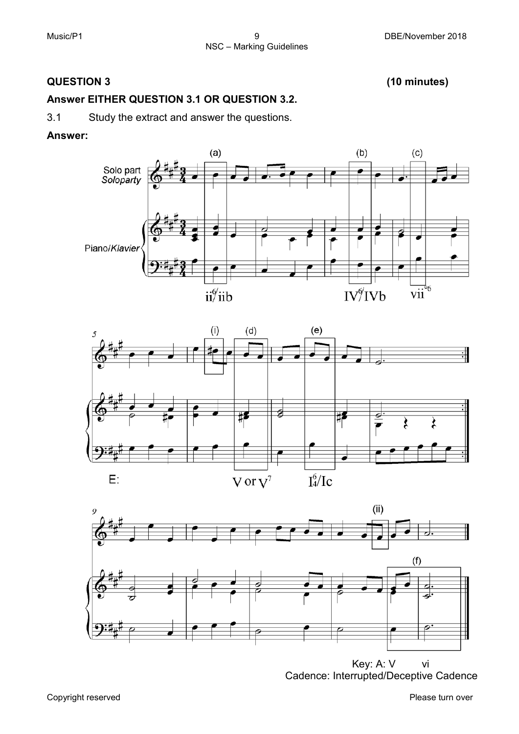# **QUESTION 3 (10 minutes)**

# **Answer EITHER QUESTION 3.1 OR QUESTION 3.2.**

3.1 Study the extract and answer the questions.

#### **Answer:**







Cadence: Interrupted/Deceptive Cadence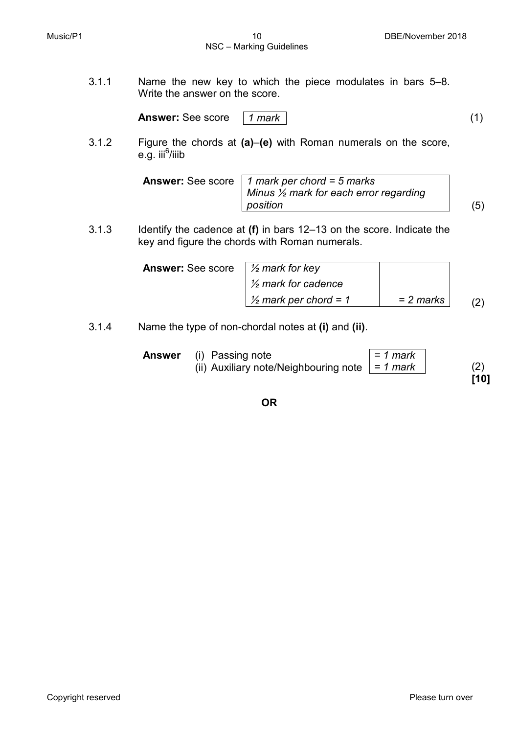3.1.1 Name the new key to which the piece modulates in bars 5–8. Write the answer on the score.

**Answer:** See score *1 mark* (1)

3.1.2 Figure the chords at **(a)**–**(e)** with Roman numerals on the score, e.g. iii<sup>6</sup>/iiib

| <b>Answer:</b> See score   1 mark per chord = 5 marks<br>Minus $\frac{1}{2}$ mark for each error regarding |  |
|------------------------------------------------------------------------------------------------------------|--|
| position                                                                                                   |  |

3.1.3 Identify the cadence at **(f)** in bars 12–13 on the score. Indicate the key and figure the chords with Roman numerals.

| <b>Answer:</b> See score $\frac{1}{2}$ mark for key |                                  |             |  |
|-----------------------------------------------------|----------------------------------|-------------|--|
|                                                     | $\frac{1}{2}$ mark for cadence   |             |  |
|                                                     | $\frac{1}{2}$ mark per chord = 1 | $= 2$ marks |  |

3.1.4 Name the type of non-chordal notes at **(i)** and **(ii)**.

| Answer | (i) Passing note                                       | = 1 mark |      |
|--------|--------------------------------------------------------|----------|------|
|        | (ii) Auxiliary note/Neighbouring note $\vert$ = 1 mark |          | (2)  |
|        |                                                        |          | [10] |

**OR**

Copyright reserved **Please** turn over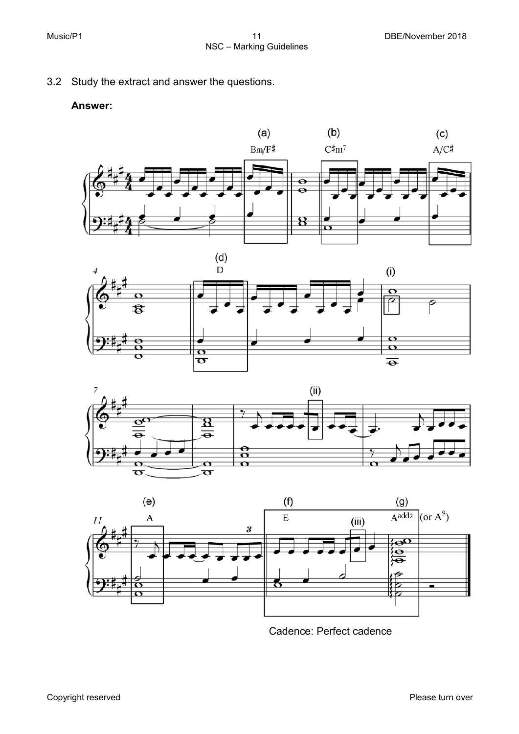3.2 Study the extract and answer the questions.

#### **Answer:**









Cadence: Perfect cadence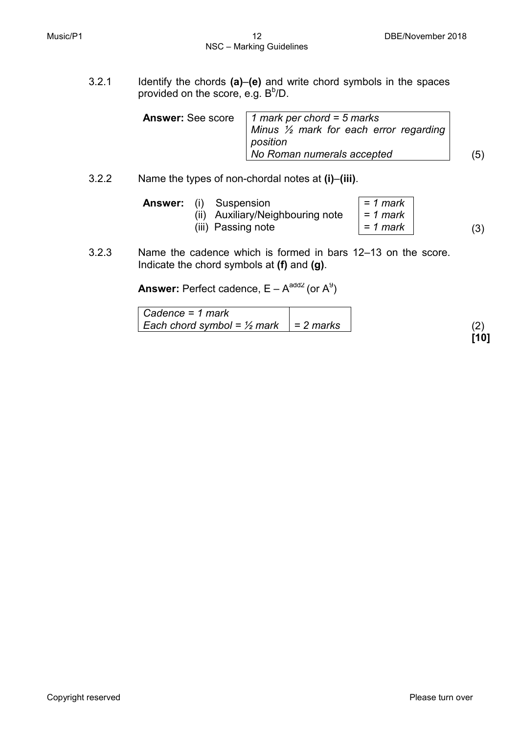3.2.1 Identify the chords **(a)**–**(e)** and write chord symbols in the spaces provided on the score, e.g.  $B^b/D$ .

| <b>Answer:</b> See score   1 mark per chord = 5 marks<br>Minus $\frac{1}{2}$ mark for each error regarding<br>position<br>No Roman numerals accepted | (5) |
|------------------------------------------------------------------------------------------------------------------------------------------------------|-----|
|                                                                                                                                                      |     |

3.2.2 Name the types of non-chordal notes at **(i)**–**(iii)**.

| <b>Answer:</b> (i) Suspension<br>(ii) Auxiliary/Neighbouring note | $= 1$ mark<br>= 1 mark |     |
|-------------------------------------------------------------------|------------------------|-----|
| (iii) Passing note                                                | = 1 mark               | (3) |

3.2.3 Name the cadence which is formed in bars 12–13 on the score. Indicate the chord symbols at **(f)** and **(g)**.

**Answer:** Perfect cadence,  $E - A^{add2}$  (or  $A^9$ )

| Cadence = 1 mark                                   |      |
|----------------------------------------------------|------|
| Each chord symbol = $\frac{1}{2}$ mark   = 2 marks |      |
|                                                    | [10] |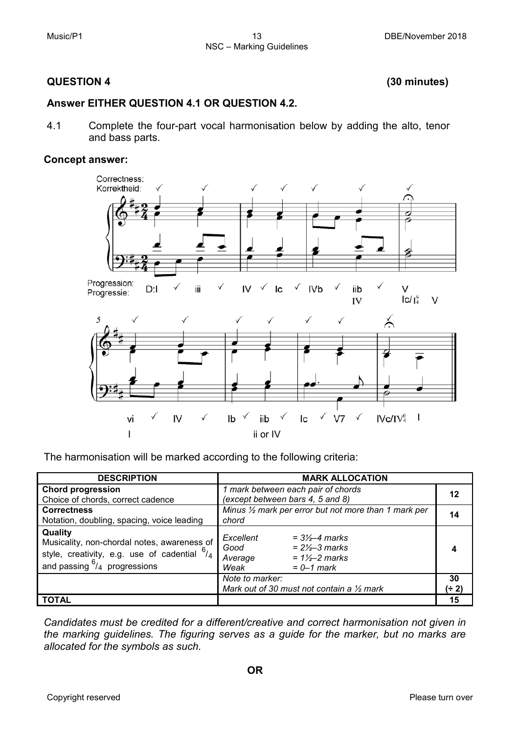### **QUESTION 4 (30 minutes)**

#### **Answer EITHER QUESTION 4.1 OR QUESTION 4.2.**

4.1 Complete the four-part vocal harmonisation below by adding the alto, tenor and bass parts.

#### **Concept answer:**



The harmonisation will be marked according to the following criteria:

| <b>DESCRIPTION</b>                                                                                                                                 | <b>MARK ALLOCATION</b>                                                                                                                       |             |
|----------------------------------------------------------------------------------------------------------------------------------------------------|----------------------------------------------------------------------------------------------------------------------------------------------|-------------|
| <b>Chord progression</b><br>Choice of chords, correct cadence                                                                                      | 1 mark between each pair of chords<br>(except between bars 4, 5 and 8)                                                                       |             |
| <b>Correctness</b><br>Notation, doubling, spacing, voice leading                                                                                   | Minus $\frac{1}{2}$ mark per error but not more than 1 mark per<br>chord                                                                     |             |
| Quality<br>Musicality, non-chordal notes, awareness of<br>style, creativity, e.g. use of cadential $6/4$<br>and passing $\frac{6}{4}$ progressions | Excellent<br>$= 3\frac{1}{2} - 4$ marks<br>$= 2\frac{1}{2} - 3$ marks<br>Good<br>$= 1\frac{1}{2}$ marks<br>Average<br>Weak<br>$= 0 - 1$ mark |             |
|                                                                                                                                                    | Note to marker:<br>Mark out of 30 must not contain a $\frac{1}{2}$ mark                                                                      | 30<br>(÷ 2) |
| <b>TOTAL</b>                                                                                                                                       |                                                                                                                                              | 15          |

*Candidates must be credited for a different/creative and correct harmonisation not given in the marking guidelines. The figuring serves as a guide for the marker, but no marks are allocated for the symbols as such.*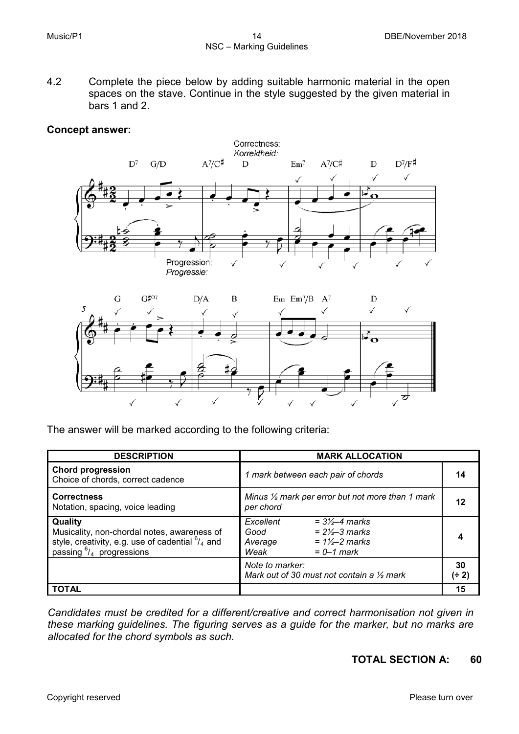4.2 Complete the piece below by adding suitable harmonic material in the open spaces on the stave. Continue in the style suggested by the given material in bars 1 and 2.

#### **Concept answer:**



The answer will be marked according to the following criteria:

| <b>DESCRIPTION</b>                                                                                                                                   | <b>MARK ALLOCATION</b>                                                                                                                   |             |
|------------------------------------------------------------------------------------------------------------------------------------------------------|------------------------------------------------------------------------------------------------------------------------------------------|-------------|
| <b>Chord progression</b><br>Choice of chords, correct cadence                                                                                        | 1 mark between each pair of chords                                                                                                       | 14          |
| <b>Correctness</b><br>Notation, spacing, voice leading                                                                                               | Minus $\frac{1}{2}$ mark per error but not more than 1 mark<br>per chord                                                                 | 12          |
| Quality<br>Musicality, non-chordal notes, awareness of<br>style, creativity, e.g. use of cadential $^{6}/_{4}$ and<br>passing $^{6}/_4$ progressions | Excellent<br>$= 3\frac{1}{2} - 4$ marks<br>$= 2\frac{1}{2}$ marks<br>Good<br>$= 1\frac{1}{2}$ marks<br>Average<br>Weak<br>$= 0 - 1$ mark |             |
|                                                                                                                                                      | Note to marker:<br>Mark out of 30 must not contain a $\frac{1}{2}$ mark                                                                  | 30<br>(÷ 2) |
| <b>TOTAL</b>                                                                                                                                         |                                                                                                                                          | 15          |

*Candidates must be credited for a different/creative and correct harmonisation not given in these marking guidelines. The figuring serves as a guide for the marker, but no marks are allocated for the chord symbols as such.*

# **TOTAL SECTION A: 60**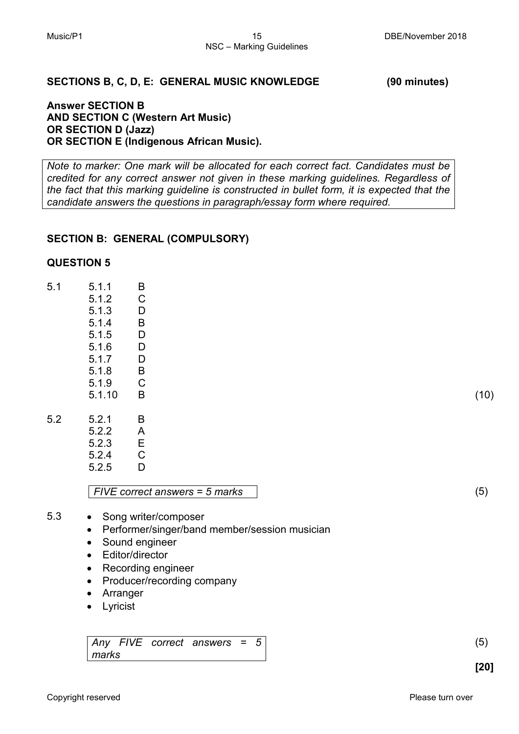#### **SECTIONS B, C, D, E: GENERAL MUSIC KNOWLEDGE (90 minutes)**

#### **Answer SECTION B AND SECTION C (Western Art Music) OR SECTION D (Jazz) OR SECTION E (Indigenous African Music).**

*Note to marker: One mark will be allocated for each correct fact. Candidates must be credited for any correct answer not given in these marking guidelines. Regardless of the fact that this marking guideline is constructed in bullet form, it is expected that the candidate answers the questions in paragraph/essay form where required.*

#### **SECTION B: GENERAL (COMPULSORY)**

#### **QUESTION 5**

| 5.1 | 5.1.1  | B           |  |  |  |      |
|-----|--------|-------------|--|--|--|------|
|     | 5.1.2  | $\mathsf C$ |  |  |  |      |
|     | 5.1.3  | D           |  |  |  |      |
|     | 5.1.4  | $\mathsf B$ |  |  |  |      |
|     | 5.1.5  | D           |  |  |  |      |
|     | 5.1.6  | D           |  |  |  |      |
|     | 5.1.7  | D           |  |  |  |      |
|     | 5.1.8  | B           |  |  |  |      |
|     | 5.1.9  | $\mathsf C$ |  |  |  |      |
|     | 5.1.10 | B           |  |  |  | (10) |
|     |        |             |  |  |  |      |
| 5.2 | 5.2.1  | B           |  |  |  |      |
|     | - - -  | $\sim$      |  |  |  |      |

| 3.Z.I | D |
|-------|---|
| 522   | A |
| 523   | Е |
| 5.2.4 | С |
| 525   | D |
|       |   |

*FIVE correct answers = 5 marks* (5)

- 5.3 Song writer/composer • Performer/singer/band member/session musician
	- Sound engineer
	-
	- Editor/director
	- Recording engineer
	- Producer/recording company
	- Arranger
	- Lyricist

*Any FIVE correct answers = 5 marks*

(5)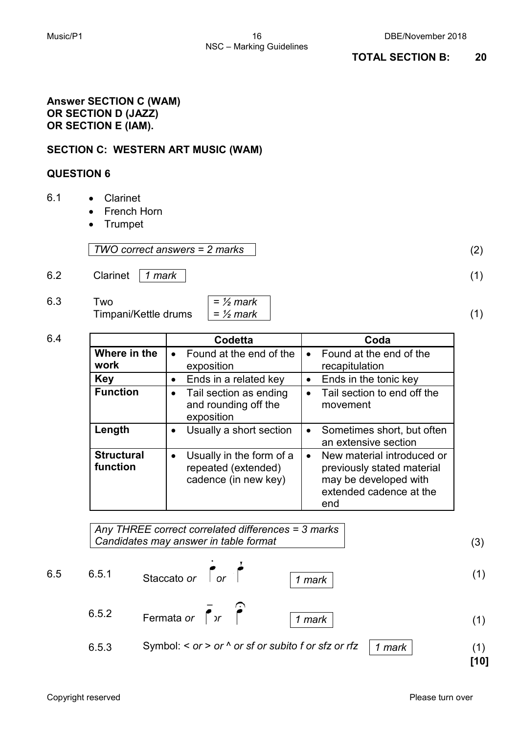#### **Answer SECTION C (WAM) OR SECTION D (JAZZ) OR SECTION E (IAM).**

# **SECTION C: WESTERN ART MUSIC (WAM)**

### **QUESTION 6**

- 6.1 Clarinet
	- French Horn
	- Trumpet

*TWO correct answers = 2 marks* (2)

- 6.2 Clarinet *1 mark* (1)
- 6.3 Two Timpani/Kettle drums

| $=$ $\frac{1}{2}$ mark |  |
|------------------------|--|
| $=$ $\frac{1}{2}$ mark |  |

|                               | Codetta                                                                              | Coda                                                                                                                             |
|-------------------------------|--------------------------------------------------------------------------------------|----------------------------------------------------------------------------------------------------------------------------------|
| Where in the<br>work          | Found at the end of the<br>$\bullet$<br>exposition                                   | Found at the end of the<br>$\bullet$<br>recapitulation                                                                           |
| Key                           | Ends in a related key<br>$\bullet$                                                   | Ends in the tonic key<br>$\bullet$                                                                                               |
| <b>Function</b>               | Tail section as ending<br>$\bullet$<br>and rounding off the<br>exposition            | Tail section to end off the<br>$\bullet$<br>movement                                                                             |
| Length                        | Usually a short section                                                              | Sometimes short, but often<br>$\bullet$<br>an extensive section                                                                  |
| <b>Structural</b><br>function | Usually in the form of a<br>$\bullet$<br>repeated (extended)<br>cadence (in new key) | New material introduced or<br>$\bullet$<br>previously stated material<br>may be developed with<br>extended cadence at the<br>end |

*Any THREE correct correlated differences = 3 marks Candidates may answer in table format* (3) 6.5 6.5.1 Staccato *or or 1 mark* (1) 6.5.2 Fermata *or or 1 mark* (1) 6.5.3 Symbol: < *or* > *or* ^ *or sf or subito f or sfz or rfz 1 mark* (1) **[10]**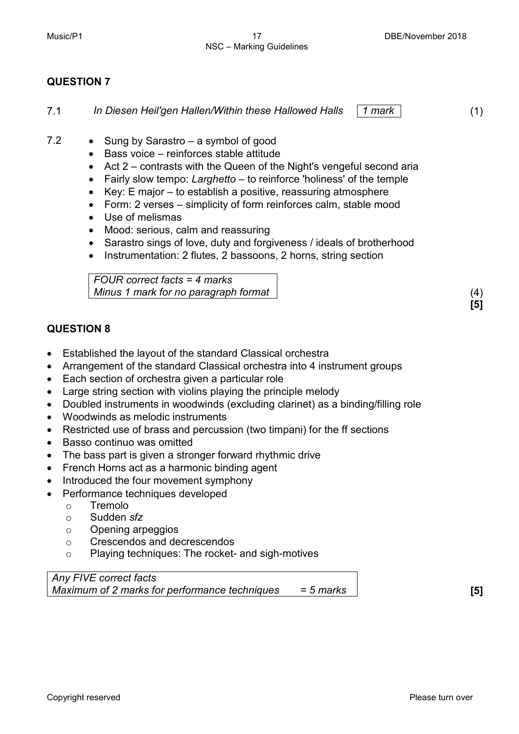7.1 *In Diesen Heil'gen Hallen/Within these Hallowed Halls 1 mark* (1)

- 7.2 Sung by Sarastro a symbol of good
	- Bass voice reinforces stable attitude
	- Act 2 contrasts with the Queen of the Night's vengeful second aria
	- Fairly slow tempo: *Larghetto* to reinforce 'holiness' of the temple
	- Key: E major to establish a positive, reassuring atmosphere
	- Form: 2 verses simplicity of form reinforces calm, stable mood
	- Use of melismas
	- Mood: serious, calm and reassuring
	- Sarastro sings of love, duty and forgiveness / ideals of brotherhood
	- Instrumentation: 2 flutes, 2 bassoons, 2 horns, string section

*FOUR correct facts = 4 marks Minus 1 mark for no paragraph format* (4)

# **QUESTION 8**

- Established the layout of the standard Classical orchestra
- Arrangement of the standard Classical orchestra into 4 instrument groups
- Each section of orchestra given a particular role
- Large string section with violins playing the principle melody
- Doubled instruments in woodwinds (excluding clarinet) as a binding/filling role
- Woodwinds as melodic instruments
- Restricted use of brass and percussion (two timpani) for the ff sections
- Basso continuo was omitted
- The bass part is given a stronger forward rhythmic drive
- French Horns act as a harmonic binding agent
- Introduced the four movement symphony
- Performance techniques developed
	- o Tremolo
	- o Sudden *sfz*
	- o Opening arpeggios
	- o Crescendos and decrescendos
	- o Playing techniques: The rocket- and sigh-motives

*Any FIVE correct facts Maximum of 2 marks for performance techniques = 5 marks* **[5]**

**[5]**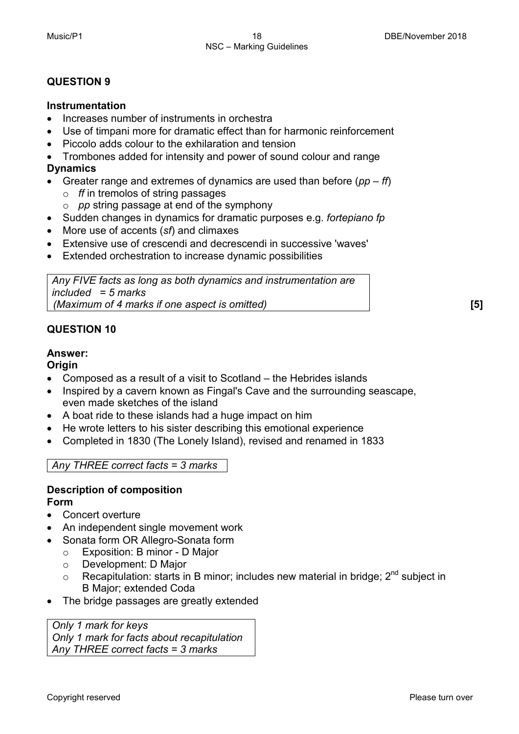#### **Instrumentation**

- Increases number of instruments in orchestra
- Use of timpani more for dramatic effect than for harmonic reinforcement
- Piccolo adds colour to the exhilaration and tension
- Trombones added for intensity and power of sound colour and range **Dynamics**
- Greater range and extremes of dynamics are used than before (*pp ff*)
	- o *ff* in tremolos of string passages
	- o *pp* string passage at end of the symphony
- Sudden changes in dynamics for dramatic purposes e.g. *fortepiano fp*
- More use of accents (*sf*) and climaxes
- Extensive use of crescendi and decrescendi in successive 'waves'
- Extended orchestration to increase dynamic possibilities

*Any FIVE facts as long as both dynamics and instrumentation are included = 5 marks (Maximum of 4 marks if one aspect is omitted)* **[5]**

# **QUESTION 10**

# **Answer:**

#### **Origin**

- Composed as a result of a visit to Scotland the Hebrides islands
- Inspired by a cavern known as Fingal's Cave and the surrounding seascape, even made sketches of the island
- A boat ride to these islands had a huge impact on him
- He wrote letters to his sister describing this emotional experience
- Completed in 1830 (The Lonely Island), revised and renamed in 1833

# *Any THREE correct facts = 3 marks*

# **Description of composition**

#### **Form**

- Concert overture
- An independent single movement work
- Sonata form OR Allegro-Sonata form
	- o Exposition: B minor D Major
	- o Development: D Major
	- $\circ$  Recapitulation: starts in B minor; includes new material in bridge;  $2^{nd}$  subject in B Major; extended Coda
- The bridge passages are greatly extended

*Only 1 mark for keys Only 1 mark for facts about recapitulation Any THREE correct facts = 3 marks*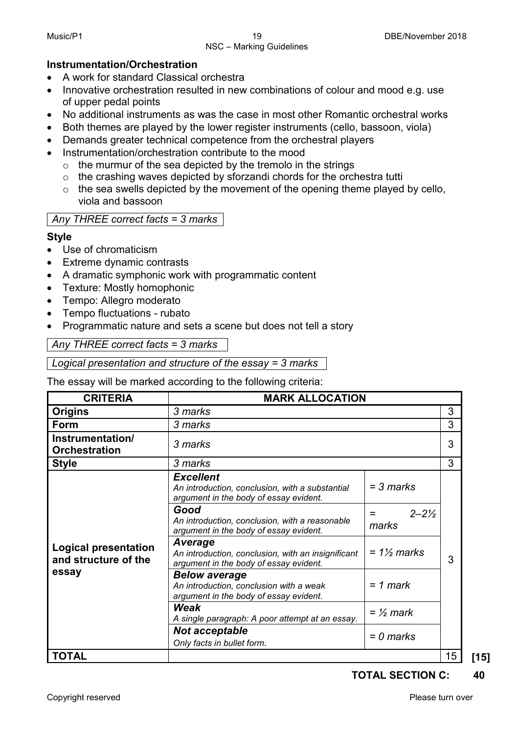#### NSC – Marking Guidelines

### **Instrumentation/Orchestration**

- A work for standard Classical orchestra
- Innovative orchestration resulted in new combinations of colour and mood e.g. use of upper pedal points
- No additional instruments as was the case in most other Romantic orchestral works
- Both themes are played by the lower register instruments (cello, bassoon, viola)
- Demands greater technical competence from the orchestral players
- Instrumentation/orchestration contribute to the mood
	- $\circ$  the murmur of the sea depicted by the tremolo in the strings
	- o the crashing waves depicted by sforzandi chords for the orchestra tutti
	- $\circ$  the sea swells depicted by the movement of the opening theme played by cello, viola and bassoon

# *Any THREE correct facts = 3 marks*

# **Style**

- Use of chromaticism
- **Extreme dynamic contrasts**
- A dramatic symphonic work with programmatic content
- Texture: Mostly homophonic
- Tempo: Allegro moderato
- Tempo fluctuations rubato
- Programmatic nature and sets a scene but does not tell a story

*Any THREE correct facts = 3 marks*

*Logical presentation and structure of the essay = 3 marks*

The essay will be marked according to the following criteria:

| <b>MARK ALLOCATION</b><br><b>CRITERIA</b>           |                                                                                                               |                                    |    |      |  |  |  |
|-----------------------------------------------------|---------------------------------------------------------------------------------------------------------------|------------------------------------|----|------|--|--|--|
| <b>Origins</b>                                      | 3 marks                                                                                                       |                                    |    |      |  |  |  |
| Form                                                | 3 marks                                                                                                       |                                    | 3  |      |  |  |  |
| Instrumentation/<br><b>Orchestration</b>            | 3 marks                                                                                                       |                                    |    |      |  |  |  |
| <b>Style</b>                                        | 3 marks                                                                                                       |                                    |    |      |  |  |  |
|                                                     | <b>Excellent</b><br>An introduction, conclusion, with a substantial<br>argument in the body of essay evident. | = 3 marks                          |    |      |  |  |  |
|                                                     | Good<br>An introduction, conclusion, with a reasonable<br>argument in the body of essay evident.              | $2 - 2\frac{1}{2}$<br>$=$<br>marks | 3  |      |  |  |  |
| <b>Logical presentation</b><br>and structure of the | Average<br>An introduction, conclusion, with an insignificant<br>argument in the body of essay evident.       | $= 1\frac{1}{2}$ marks             |    |      |  |  |  |
| essay                                               | <b>Below average</b><br>An introduction, conclusion with a weak<br>argument in the body of essay evident.     | $= 1$ mark                         |    |      |  |  |  |
|                                                     | Weak<br>A single paragraph: A poor attempt at an essay.                                                       | $=$ 1/2 mark                       |    |      |  |  |  |
|                                                     | <b>Not acceptable</b><br>$= 0$ marks<br>Only facts in bullet form.                                            |                                    |    |      |  |  |  |
| <b>TOTAL</b>                                        |                                                                                                               |                                    | 15 | [15] |  |  |  |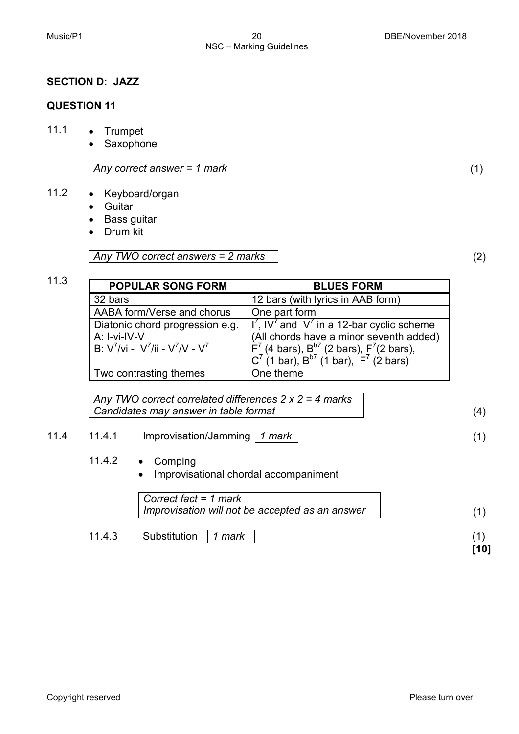#### **SECTION D: JAZZ**

#### **QUESTION 11**

- 11.1 Trumpet
	- Saxophone

*Any correct answer = 1 mark* (1)

# 11.2 • Keyboard/organ

- Guitar
- Bass guitar
- Drum kit

*Any TWO correct answers = 2 marks* (2)

| <b>POPULAR SONG FORM</b>           | <b>BLUES FORM</b>                                        |  |  |  |  |
|------------------------------------|----------------------------------------------------------|--|--|--|--|
| 32 bars                            | 12 bars (with lyrics in AAB form)                        |  |  |  |  |
| AABA form/Verse and chorus         | One part form                                            |  |  |  |  |
| Diatonic chord progression e.g.    | $I^7$ , IV <sup>7</sup> and V' in a 12-bar cyclic scheme |  |  |  |  |
| A: I-vi-IV-V                       | (All chords have a minor seventh added)                  |  |  |  |  |
| B: $V^7/vi - V^7/ii - V^7/V - V^7$ | $F7$ (4 bars), $B57$ (2 bars), $F7$ (2 bars),            |  |  |  |  |
|                                    | $C^7$ (1 bar), $B^{b7}$ (1 bar), $F^7$ (2 bars)          |  |  |  |  |
| Two contrasting themes             | One theme                                                |  |  |  |  |

*Any TWO correct correlated differences 2 x 2 = 4 marks Candidates may answer in table format* (4)

# 11.4 11.4.1 Improvisation/Jamming *1 mark* (1)

- 11.4.2 Comping
	- Improvisational chordal accompaniment

|        | Correct fact = $1$ mark<br>Improvisation will not be accepted as an answer |      |
|--------|----------------------------------------------------------------------------|------|
| 11.4.3 | Substitution   1 mark                                                      | [10] |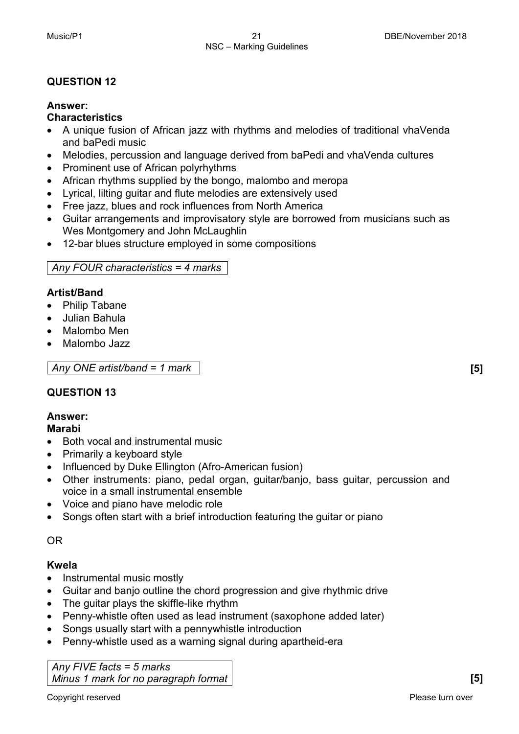### **Answer:**

#### **Characteristics**

- A unique fusion of African jazz with rhythms and melodies of traditional vhaVenda and baPedi music
- Melodies, percussion and language derived from baPedi and vhaVenda cultures
- Prominent use of African polyrhythms
- African rhythms supplied by the bongo, malombo and meropa
- Lyrical, lilting guitar and flute melodies are extensively used
- Free jazz, blues and rock influences from North America
- Guitar arrangements and improvisatory style are borrowed from musicians such as Wes Montgomery and John McLaughlin
- 12-bar blues structure employed in some compositions

# *Any FOUR characteristics = 4 marks*

# **Artist/Band**

- Philip Tabane
- Julian Bahula
- Malombo Men
- Malombo Jazz

*Any ONE artist/band = 1 mark* **[5]**

# **QUESTION 13**

# **Answer:**

# **Marabi**

- Both vocal and instrumental music
- Primarily a keyboard style
- Influenced by Duke Ellington (Afro-American fusion)
- Other instruments: piano, pedal organ, guitar/banjo, bass guitar, percussion and voice in a small instrumental ensemble
- Voice and piano have melodic role
- Songs often start with a brief introduction featuring the guitar or piano

# OR

# **Kwela**

- Instrumental music mostly
- Guitar and banjo outline the chord progression and give rhythmic drive
- The guitar plays the skiffle-like rhythm
- Penny-whistle often used as lead instrument (saxophone added later)
- Songs usually start with a pennywhistle introduction
- Penny-whistle used as a warning signal during apartheid-era

*Any FIVE facts = 5 marks Minus 1 mark for no paragraph format* **[5]**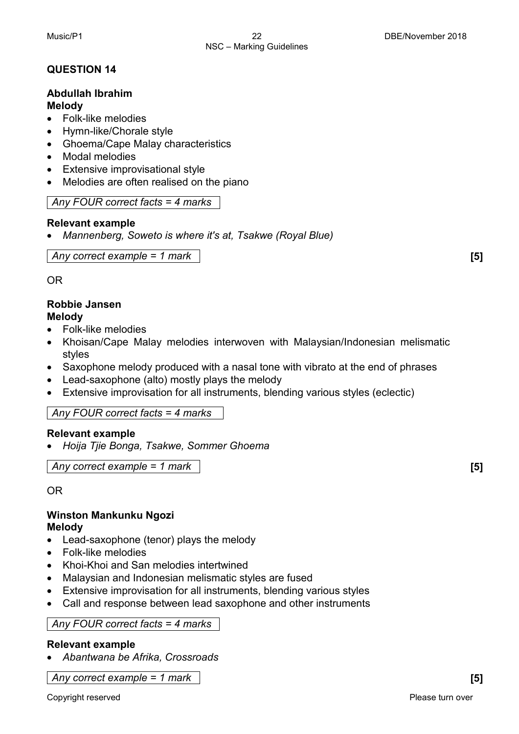#### **Abdullah Ibrahim Melody**

- Folk-like melodies
- Hymn-like/Chorale style
- Ghoema/Cape Malay characteristics
- Modal melodies
- Extensive improvisational style
- Melodies are often realised on the piano

*Any FOUR correct facts = 4 marks*

#### **Relevant example**

• *Mannenberg, Soweto is where it's at, Tsakwe (Royal Blue)*

*Any correct example = 1 mark* **[5]**

OR

#### **Robbie Jansen Melody**

- Folk-like melodies
- Khoisan/Cape Malay melodies interwoven with Malaysian/Indonesian melismatic styles
- Saxophone melody produced with a nasal tone with vibrato at the end of phrases
- Lead-saxophone (alto) mostly plays the melody
- Extensive improvisation for all instruments, blending various styles (eclectic)

# *Any FOUR correct facts = 4 marks*

# **Relevant example**

• *Hoija Tjie Bonga, Tsakwe, Sommer Ghoema*

*Any correct example = 1 mark* **[5]**

OR

# **Winston Mankunku Ngozi Melody**

- Lead-saxophone (tenor) plays the melody
- Folk-like melodies
- Khoi-Khoi and San melodies intertwined
- Malaysian and Indonesian melismatic styles are fused
- Extensive improvisation for all instruments, blending various styles
- Call and response between lead saxophone and other instruments

*Any FOUR correct facts = 4 marks*

# **Relevant example**

• *Abantwana be Afrika, Crossroads*

*Any correct example = 1 mark* **[5]**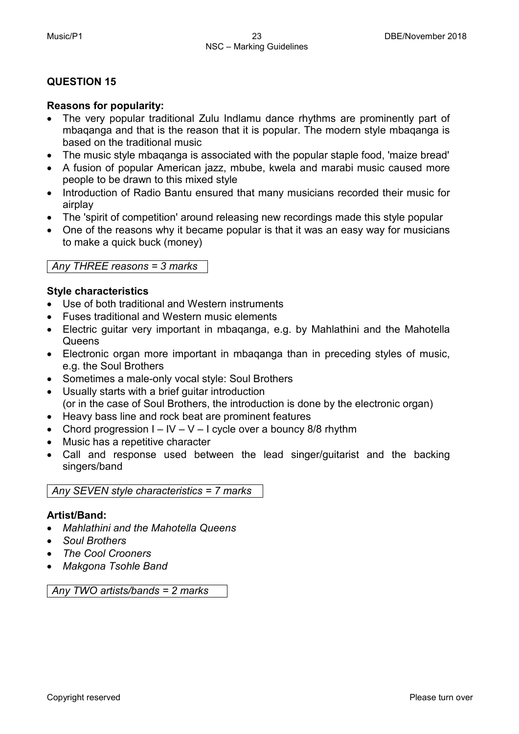#### **Reasons for popularity:**

- The very popular traditional Zulu Indlamu dance rhythms are prominently part of mbaqanga and that is the reason that it is popular. The modern style mbaqanga is based on the traditional music
- The music style mbaqanga is associated with the popular staple food, 'maize bread'
- A fusion of popular American jazz, mbube, kwela and marabi music caused more people to be drawn to this mixed style
- Introduction of Radio Bantu ensured that many musicians recorded their music for airplay
- The 'spirit of competition' around releasing new recordings made this style popular
- One of the reasons why it became popular is that it was an easy way for musicians to make a quick buck (money)

#### *Any THREE reasons = 3 marks*

#### **Style characteristics**

- Use of both traditional and Western instruments
- Fuses traditional and Western music elements
- Electric guitar very important in mbaqanga, e.g. by Mahlathini and the Mahotella **Queens**
- Electronic organ more important in mbaqanga than in preceding styles of music, e.g. the Soul Brothers
- Sometimes a male-only vocal style: Soul Brothers
- Usually starts with a brief guitar introduction (or in the case of Soul Brothers, the introduction is done by the electronic organ)
- Heavy bass line and rock beat are prominent features
- Chord progression  $I IV V I$  cycle over a bouncy 8/8 rhythm
- Music has a repetitive character
- Call and response used between the lead singer/guitarist and the backing singers/band

*Any SEVEN style characteristics = 7 marks*

#### **Artist/Band:**

- *Mahlathini and the Mahotella Queens*
- *Soul Brothers*
- *The Cool Crooners*
- *Makgona Tsohle Band*

*Any TWO artists/bands = 2 marks*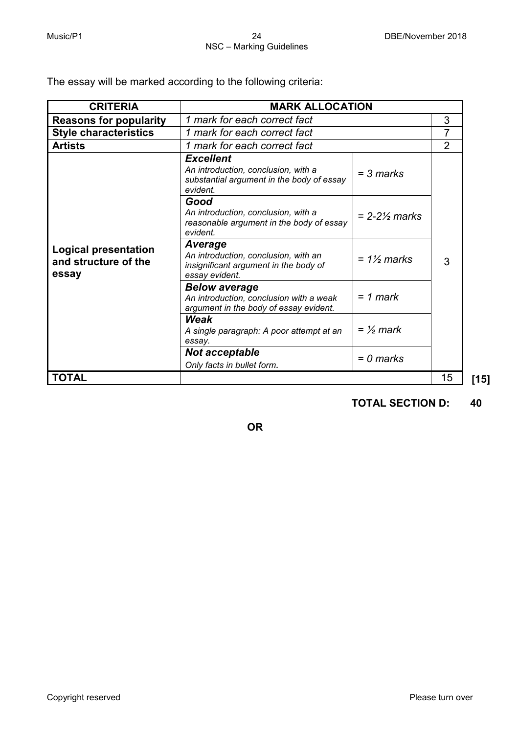The essay will be marked according to the following criteria:

| <b>CRITERIA</b>                                              | <b>MARK ALLOCATION</b>                                                                                                   |                            |                |      |  |  |
|--------------------------------------------------------------|--------------------------------------------------------------------------------------------------------------------------|----------------------------|----------------|------|--|--|
| <b>Reasons for popularity</b>                                | 1 mark for each correct fact                                                                                             | 3                          |                |      |  |  |
| <b>Style characteristics</b>                                 | 1 mark for each correct fact                                                                                             |                            | 7              |      |  |  |
| <b>Artists</b>                                               | 1 mark for each correct fact                                                                                             |                            | $\overline{2}$ |      |  |  |
|                                                              | <b>Excellent</b><br>An introduction, conclusion, with a<br>substantial argument in the body of essay<br>evident.<br>Good | $=$ 3 marks                |                |      |  |  |
|                                                              | An introduction, conclusion, with a<br>reasonable argument in the body of essay<br>evident.                              | $= 2 - 2\frac{1}{2}$ marks |                |      |  |  |
| <b>Logical presentation</b><br>and structure of the<br>essay | Average<br>An introduction, conclusion, with an<br>insignificant argument in the body of<br>essay evident.               | $= 1\frac{1}{2}$ marks     | 3              |      |  |  |
|                                                              | <b>Below average</b><br>An introduction, conclusion with a weak<br>argument in the body of essay evident.                | $= 1$ mark                 |                |      |  |  |
|                                                              | Weak<br>A single paragraph: A poor attempt at an<br>essay.                                                               | $=$ 1/ <sub>2</sub> mark   |                |      |  |  |
|                                                              | Not acceptable<br>Only facts in bullet form.                                                                             | $= 0$ marks                |                |      |  |  |
| TOTAL                                                        |                                                                                                                          |                            | 15             | [15] |  |  |

# **TOTAL SECTION D: 40**

**OR**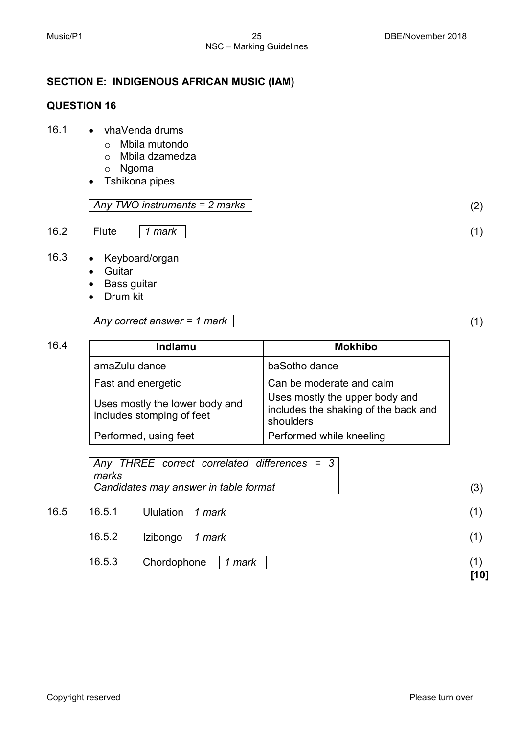# **SECTION E: INDIGENOUS AFRICAN MUSIC (IAM)**

# **QUESTION 16**

- 16.1 vhaVenda drums
	- o Mbila mutondo
	- o Mbila dzamedza
	- o Ngoma
	- Tshikona pipes

#### *Any TWO instruments = 2 marks* (2)

16.2 Flute *1 mark* (1)

- 16.3 Keyboard/organ
	- Guitar
	- Bass guitar
	- Drum kit

#### *Any correct answer = 1 mark* (1)

| 16.4 | Indlamu                                                     | <b>Mokhibo</b>                                                                      |  |  |
|------|-------------------------------------------------------------|-------------------------------------------------------------------------------------|--|--|
|      | amaZulu dance                                               | baSotho dance                                                                       |  |  |
|      | Fast and energetic                                          | Can be moderate and calm                                                            |  |  |
|      | Uses mostly the lower body and<br>includes stomping of feet | Uses mostly the upper body and<br>includes the shaking of the back and<br>shoulders |  |  |
|      | Performed, using feet                                       | Performed while kneeling                                                            |  |  |

|      | marks  | Any THREE correct correlated differences = 3 |  |  |     |
|------|--------|----------------------------------------------|--|--|-----|
|      |        | Candidates may answer in table format        |  |  | (3) |
| 16.5 | 16.5.1 | Ululation   1 mark                           |  |  |     |

| 16.5.2 Izibongo   1 <i>mark</i> |  |
|---------------------------------|--|
|                                 |  |

16.5.3 Chordophone *1 mark* (1)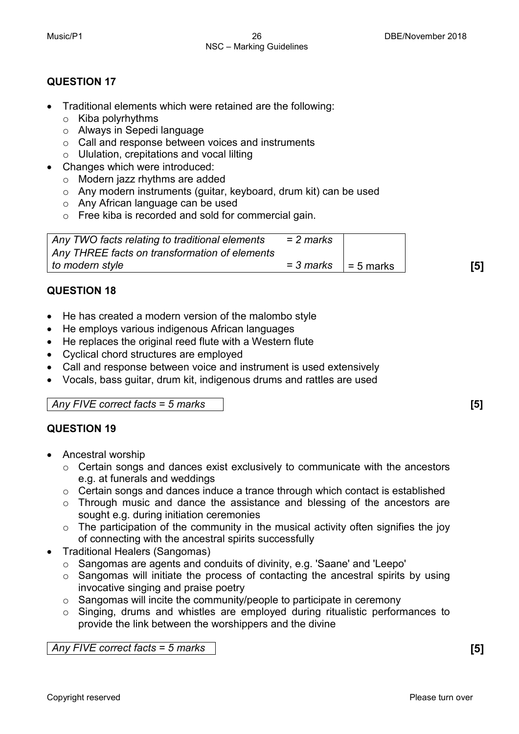- Traditional elements which were retained are the following:
	- o Kiba polyrhythms
	- o Always in Sepedi language
	- o Call and response between voices and instruments
	- $\circ$  Ululation, crepitations and vocal lilting
- Changes which were introduced:
	- o Modern jazz rhythms are added
	- o Any modern instruments (guitar, keyboard, drum kit) can be used
	- o Any African language can be used
	- o Free kiba is recorded and sold for commercial gain.

| Any TWO facts relating to traditional elements | = 2 marks |             |     |
|------------------------------------------------|-----------|-------------|-----|
| Any THREE facts on transformation of elements  |           |             |     |
| to modern style                                | = 3 marks | l = 5 marks | [5] |

#### **QUESTION 18**

- He has created a modern version of the malombo style
- He employs various indigenous African languages
- He replaces the original reed flute with a Western flute
- Cyclical chord structures are employed
- Call and response between voice and instrument is used extensively
- Vocals, bass guitar, drum kit, indigenous drums and rattles are used

*Any FIVE correct facts = 5 marks* **[5]**

# **QUESTION 19**

- Ancestral worship
	- $\circ$  Certain songs and dances exist exclusively to communicate with the ancestors e.g. at funerals and weddings
	- o Certain songs and dances induce a trance through which contact is established
	- o Through music and dance the assistance and blessing of the ancestors are sought e.g. during initiation ceremonies
	- $\circ$  The participation of the community in the musical activity often signifies the joy of connecting with the ancestral spirits successfully
- Traditional Healers (Sangomas)
	- o Sangomas are agents and conduits of divinity, e.g. 'Saane' and 'Leepo'
	- o Sangomas will initiate the process of contacting the ancestral spirits by using invocative singing and praise poetry
	- o Sangomas will incite the community/people to participate in ceremony
	- o Singing, drums and whistles are employed during ritualistic performances to provide the link between the worshippers and the divine

*Any FIVE correct facts = 5 marks* **[5]**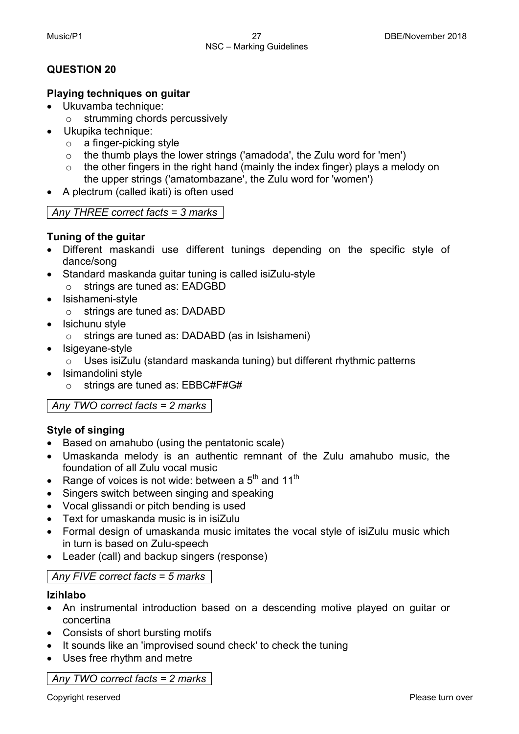#### **Playing techniques on guitar**

- Ukuvamba technique:
	- o strumming chords percussively
- Ukupika technique:
	- o a finger-picking style
	- $\circ$  the thumb plays the lower strings ('amadoda', the Zulu word for 'men')  $\circ$  the other fingers in the right hand (mainly the index finger) plays a mel
	- the other fingers in the right hand (mainly the index finger) plays a melody on the upper strings ('amatombazane', the Zulu word for 'women')
- A plectrum (called ikati) is often used

# *Any THREE correct facts = 3 marks*

# **Tuning of the guitar**

- Different maskandi use different tunings depending on the specific style of dance/song
- Standard maskanda guitar tuning is called isiZulu-style o strings are tuned as: EADGBD
- Isishameni-style
	- o strings are tuned as: DADABD
- Isichunu style
	- o strings are tuned as: DADABD (as in Isishameni)
- Isigevane-style
	- o Uses isiZulu (standard maskanda tuning) but different rhythmic patterns
- Isimandolini style
	- o strings are tuned as: EBBC#F#G#

*Any TWO correct facts = 2 marks*

# **Style of singing**

- Based on amahubo (using the pentatonic scale)
- Umaskanda melody is an authentic remnant of the Zulu amahubo music, the foundation of all Zulu vocal music
- Range of voices is not wide: between a  $5<sup>th</sup>$  and 11<sup>th</sup>
- Singers switch between singing and speaking
- Vocal glissandi or pitch bending is used
- Text for umaskanda music is in isiZulu
- Formal design of umaskanda music imitates the vocal style of isiZulu music which in turn is based on Zulu-speech
- Leader (call) and backup singers (response)

# *Any FIVE correct facts = 5 marks*

# **Izihlabo**

- An instrumental introduction based on a descending motive played on guitar or concertina
- Consists of short bursting motifs
- It sounds like an 'improvised sound check' to check the tuning
- Uses free rhythm and metre

*Any TWO correct facts = 2 marks*